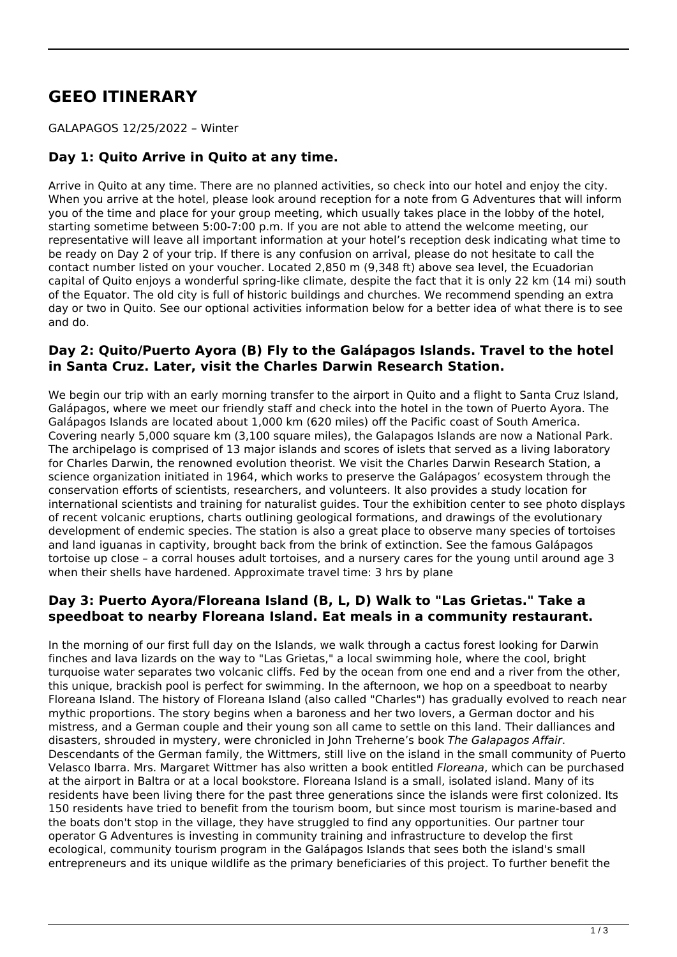# **GEEO ITINERARY**

#### GALAPAGOS 12/25/2022 – Winter

## **Day 1: Quito Arrive in Quito at any time.**

Arrive in Quito at any time. There are no planned activities, so check into our hotel and enjoy the city. When you arrive at the hotel, please look around reception for a note from G Adventures that will inform you of the time and place for your group meeting, which usually takes place in the lobby of the hotel, starting sometime between 5:00-7:00 p.m. If you are not able to attend the welcome meeting, our representative will leave all important information at your hotel's reception desk indicating what time to be ready on Day 2 of your trip. If there is any confusion on arrival, please do not hesitate to call the contact number listed on your voucher. Located 2,850 m (9,348 ft) above sea level, the Ecuadorian capital of Quito enjoys a wonderful spring-like climate, despite the fact that it is only 22 km (14 mi) south of the Equator. The old city is full of historic buildings and churches. We recommend spending an extra day or two in Quito. See our optional activities information below for a better idea of what there is to see and do.

#### **Day 2: Quito/Puerto Ayora (B) Fly to the Galápagos Islands. Travel to the hotel in Santa Cruz. Later, visit the Charles Darwin Research Station.**

We begin our trip with an early morning transfer to the airport in Quito and a flight to Santa Cruz Island, Galápagos, where we meet our friendly staff and check into the hotel in the town of Puerto Ayora. The Galápagos Islands are located about 1,000 km (620 miles) off the Pacific coast of South America. Covering nearly 5,000 square km (3,100 square miles), the Galapagos Islands are now a National Park. The archipelago is comprised of 13 major islands and scores of islets that served as a living laboratory for Charles Darwin, the renowned evolution theorist. We visit the Charles Darwin Research Station, a science organization initiated in 1964, which works to preserve the Galápagos' ecosystem through the conservation efforts of scientists, researchers, and volunteers. It also provides a study location for international scientists and training for naturalist guides. Tour the exhibition center to see photo displays of recent volcanic eruptions, charts outlining geological formations, and drawings of the evolutionary development of endemic species. The station is also a great place to observe many species of tortoises and land iguanas in captivity, brought back from the brink of extinction. See the famous Galápagos tortoise up close – a corral houses adult tortoises, and a nursery cares for the young until around age 3 when their shells have hardened. Approximate travel time: 3 hrs by plane

#### **Day 3: Puerto Ayora/Floreana Island (B, L, D) Walk to "Las Grietas." Take a speedboat to nearby Floreana Island. Eat meals in a community restaurant.**

In the morning of our first full day on the Islands, we walk through a cactus forest looking for Darwin finches and lava lizards on the way to "Las Grietas," a local swimming hole, where the cool, bright turquoise water separates two volcanic cliffs. Fed by the ocean from one end and a river from the other, this unique, brackish pool is perfect for swimming. In the afternoon, we hop on a speedboat to nearby Floreana Island. The history of Floreana Island (also called "Charles") has gradually evolved to reach near mythic proportions. The story begins when a baroness and her two lovers, a German doctor and his mistress, and a German couple and their young son all came to settle on this land. Their dalliances and disasters, shrouded in mystery, were chronicled in John Treherne's book *The Galapagos Affair*. Descendants of the German family, the Wittmers, still live on the island in the small community of Puerto Velasco Ibarra. Mrs. Margaret Wittmer has also written a book entitled *Floreana*, which can be purchased at the airport in Baltra or at a local bookstore. Floreana Island is a small, isolated island. Many of its residents have been living there for the past three generations since the islands were first colonized. Its 150 residents have tried to benefit from the tourism boom, but since most tourism is marine-based and the boats don't stop in the village, they have struggled to find any opportunities. Our partner tour operator G Adventures is investing in community training and infrastructure to develop the first ecological, community tourism program in the Galápagos Islands that sees both the island's small entrepreneurs and its unique wildlife as the primary beneficiaries of this project. To further benefit the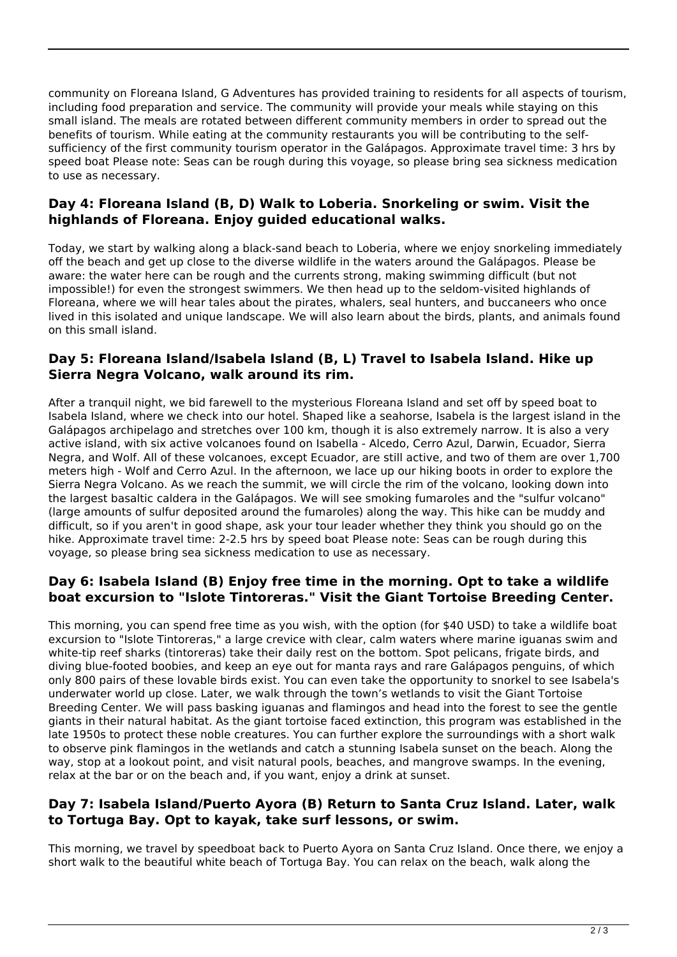community on Floreana Island, G Adventures has provided training to residents for all aspects of tourism, including food preparation and service. The community will provide your meals while staying on this small island. The meals are rotated between different community members in order to spread out the benefits of tourism. While eating at the community restaurants you will be contributing to the selfsufficiency of the first community tourism operator in the Galápagos. Approximate travel time: 3 hrs by speed boat Please note: Seas can be rough during this voyage, so please bring sea sickness medication to use as necessary.

#### **Day 4: Floreana Island (B, D) Walk to Loberia. Snorkeling or swim. Visit the highlands of Floreana. Enjoy guided educational walks.**

Today, we start by walking along a black-sand beach to Loberia, where we enjoy snorkeling immediately off the beach and get up close to the diverse wildlife in the waters around the Galápagos. Please be aware: the water here can be rough and the currents strong, making swimming difficult (but not impossible!) for even the strongest swimmers. We then head up to the seldom-visited highlands of Floreana, where we will hear tales about the pirates, whalers, seal hunters, and buccaneers who once lived in this isolated and unique landscape. We will also learn about the birds, plants, and animals found on this small island.

#### **Day 5: Floreana Island/Isabela Island (B, L) Travel to Isabela Island. Hike up Sierra Negra Volcano, walk around its rim.**

After a tranquil night, we bid farewell to the mysterious Floreana Island and set off by speed boat to Isabela Island, where we check into our hotel. Shaped like a seahorse, Isabela is the largest island in the Galápagos archipelago and stretches over 100 km, though it is also extremely narrow. It is also a very active island, with six active volcanoes found on Isabella - Alcedo, Cerro Azul, Darwin, Ecuador, Sierra Negra, and Wolf. All of these volcanoes, except Ecuador, are still active, and two of them are over 1,700 meters high - Wolf and Cerro Azul. In the afternoon, we lace up our hiking boots in order to explore the Sierra Negra Volcano. As we reach the summit, we will circle the rim of the volcano, looking down into the largest basaltic caldera in the Galápagos. We will see smoking fumaroles and the "sulfur volcano" (large amounts of sulfur deposited around the fumaroles) along the way. This hike can be muddy and difficult, so if you aren't in good shape, ask your tour leader whether they think you should go on the hike. Approximate travel time: 2-2.5 hrs by speed boat Please note: Seas can be rough during this voyage, so please bring sea sickness medication to use as necessary.

### **Day 6: Isabela Island (B) Enjoy free time in the morning. Opt to take a wildlife boat excursion to "Islote Tintoreras." Visit the Giant Tortoise Breeding Center.**

This morning, you can spend free time as you wish, with the option (for \$40 USD) to take a wildlife boat excursion to "Islote Tintoreras," a large crevice with clear, calm waters where marine iguanas swim and white-tip reef sharks (tintoreras) take their daily rest on the bottom. Spot pelicans, frigate birds, and diving blue-footed boobies, and keep an eye out for manta rays and rare Galápagos penguins, of which only 800 pairs of these lovable birds exist. You can even take the opportunity to snorkel to see Isabela's underwater world up close. Later, we walk through the town's wetlands to visit the Giant Tortoise Breeding Center. We will pass basking iguanas and flamingos and head into the forest to see the gentle giants in their natural habitat. As the giant tortoise faced extinction, this program was established in the late 1950s to protect these noble creatures. You can further explore the surroundings with a short walk to observe pink flamingos in the wetlands and catch a stunning Isabela sunset on the beach. Along the way, stop at a lookout point, and visit natural pools, beaches, and mangrove swamps. In the evening, relax at the bar or on the beach and, if you want, enjoy a drink at sunset.

### **Day 7: Isabela Island/Puerto Ayora (B) Return to Santa Cruz Island. Later, walk to Tortuga Bay. Opt to kayak, take surf lessons, or swim.**

This morning, we travel by speedboat back to Puerto Ayora on Santa Cruz Island. Once there, we enjoy a short walk to the beautiful white beach of Tortuga Bay. You can relax on the beach, walk along the